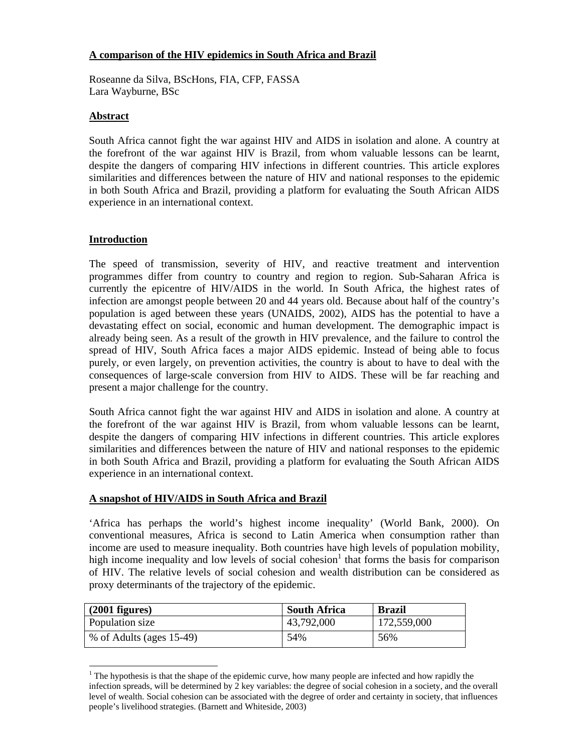# **A comparison of the HIV epidemics in South Africa and Brazil**

Roseanne da Silva, BScHons, FIA, CFP, FASSA Lara Wayburne, BSc

### **Abstract**

South Africa cannot fight the war against HIV and AIDS in isolation and alone. A country at the forefront of the war against HIV is Brazil, from whom valuable lessons can be learnt, despite the dangers of comparing HIV infections in different countries. This article explores similarities and differences between the nature of HIV and national responses to the epidemic in both South Africa and Brazil, providing a platform for evaluating the South African AIDS experience in an international context.

### **Introduction**

-

The speed of transmission, severity of HIV, and reactive treatment and intervention programmes differ from country to country and region to region. Sub-Saharan Africa is currently the epicentre of HIV/AIDS in the world. In South Africa, the highest rates of infection are amongst people between 20 and 44 years old. Because about half of the country's population is aged between these years (UNAIDS, 2002), AIDS has the potential to have a devastating effect on social, economic and human development. The demographic impact is already being seen. As a result of the growth in HIV prevalence, and the failure to control the spread of HIV, South Africa faces a major AIDS epidemic. Instead of being able to focus purely, or even largely, on prevention activities, the country is about to have to deal with the consequences of large-scale conversion from HIV to AIDS. These will be far reaching and present a major challenge for the country.

South Africa cannot fight the war against HIV and AIDS in isolation and alone. A country at the forefront of the war against HIV is Brazil, from whom valuable lessons can be learnt, despite the dangers of comparing HIV infections in different countries. This article explores similarities and differences between the nature of HIV and national responses to the epidemic in both South Africa and Brazil, providing a platform for evaluating the South African AIDS experience in an international context.

#### **A snapshot of HIV/AIDS in South Africa and Brazil**

'Africa has perhaps the world's highest income inequality' (World Bank, 2000). On conventional measures, Africa is second to Latin America when consumption rather than income are used to measure inequality. Both countries have high levels of population mobility, high income inequality and low levels of social cohesion<sup>1</sup> that forms the basis for comparison of HIV. The relative levels of social cohesion and wealth distribution can be considered as proxy determinants of the trajectory of the epidemic.

| $(2001$ figures)         | <b>South Africa</b> | <b>Brazil</b> |
|--------------------------|---------------------|---------------|
| Population size          | 43,792,000          | 172,559,000   |
| % of Adults (ages 15-49) | 54%                 | 56%           |

 $1$ <sup>1</sup> The hypothesis is that the shape of the epidemic curve, how many people are infected and how rapidly the infection spreads, will be determined by 2 key variables: the degree of social cohesion in a society, and the overall level of wealth. Social cohesion can be associated with the degree of order and certainty in society, that influences people's livelihood strategies. (Barnett and Whiteside, 2003)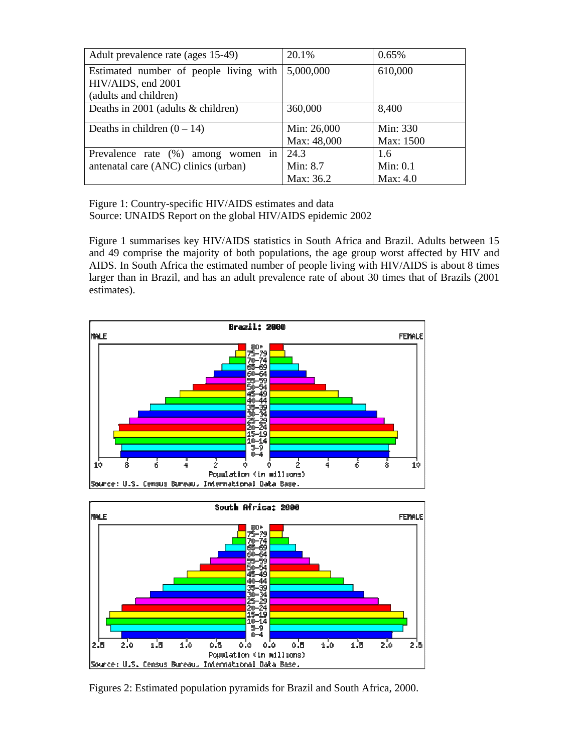| Adult prevalence rate (ages 15-49)     | 20.1%       | 0.65%      |
|----------------------------------------|-------------|------------|
| Estimated number of people living with | 5,000,000   | 610,000    |
| HIV/AIDS, end 2001                     |             |            |
| (adults and children)                  |             |            |
| Deaths in 2001 (adults & children)     | 360,000     | 8,400      |
|                                        |             |            |
| Deaths in children $(0 - 14)$          | Min: 26,000 | Min: 330   |
|                                        | Max: 48,000 | Max: 1500  |
| Prevalence rate (%) among<br>women in  | 24.3        | 1.6        |
| antenatal care (ANC) clinics (urban)   | Min: 8.7    | Min: $0.1$ |
|                                        | Max: 36.2   | Max: $4.0$ |

Figure 1: Country-specific HIV/AIDS estimates and data Source: UNAIDS Report on the global HIV/AIDS epidemic 2002

Figure 1 summarises key HIV/AIDS statistics in South Africa and Brazil. Adults between 15 and 49 comprise the majority of both populations, the age group worst affected by HIV and AIDS. In South Africa the estimated number of people living with HIV/AIDS is about 8 times larger than in Brazil, and has an adult prevalence rate of about 30 times that of Brazils (2001 estimates).





Figures 2: Estimated population pyramids for Brazil and South Africa, 2000.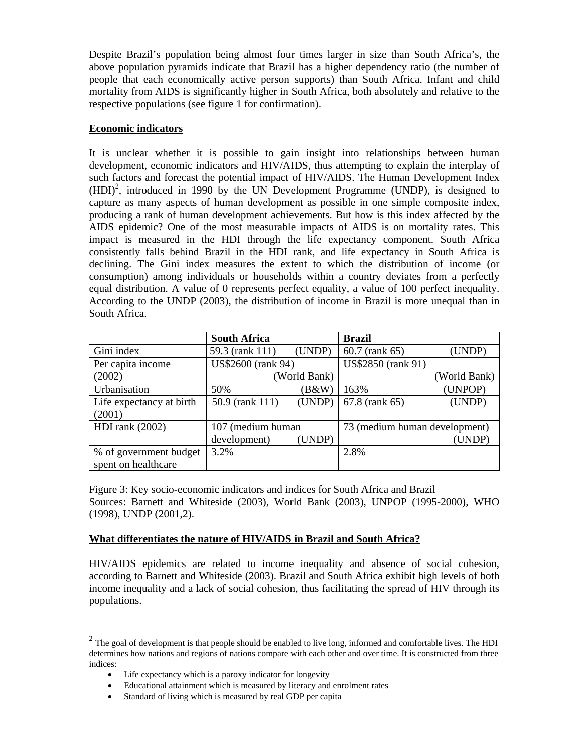Despite Brazil's population being almost four times larger in size than South Africa's, the above population pyramids indicate that Brazil has a higher dependency ratio (the number of people that each economically active person supports) than South Africa. Infant and child mortality from AIDS is significantly higher in South Africa, both absolutely and relative to the respective populations (see figure 1 for confirmation).

### **Economic indicators**

It is unclear whether it is possible to gain insight into relationships between human development, economic indicators and HIV/AIDS, thus attempting to explain the interplay of such factors and forecast the potential impact of HIV/AIDS. The Human Development Index  $(HDI)<sup>2</sup>$ , introduced in 1990 by the UN Development Programme (UNDP), is designed to capture as many aspects of human development as possible in one simple composite index, producing a rank of human development achievements. But how is this index affected by the AIDS epidemic? One of the most measurable impacts of AIDS is on mortality rates. This impact is measured in the HDI through the life expectancy component. South Africa consistently falls behind Brazil in the HDI rank, and life expectancy in South Africa is declining. The Gini index measures the extent to which the distribution of income (or consumption) among individuals or households within a country deviates from a perfectly equal distribution. A value of 0 represents perfect equality, a value of 100 perfect inequality. According to the UNDP (2003), the distribution of income in Brazil is more unequal than in South Africa.

|                          | <b>South Africa</b> |        | <b>Brazil</b>                 |              |
|--------------------------|---------------------|--------|-------------------------------|--------------|
| Gini index               | 59.3 (rank 111)     | (UNDP) | 60.7 (rank 65)                | (UNDP)       |
| Per capita income        | US\$2600 (rank 94)  |        | US\$2850 (rank 91)            |              |
| (2002)                   | (World Bank)        |        |                               | (World Bank) |
| Urbanisation             | 50%                 | (B&W)  | 163%                          | (UNPOP)      |
| Life expectancy at birth | 50.9 (rank 111)     | (UNDP) | 67.8 (rank 65)                | (UNDP)       |
| (2001)                   |                     |        |                               |              |
| HDI rank $(2002)$        | 107 (medium human   |        | 73 (medium human development) |              |
|                          | development)        | (UNDP) |                               | (UNDP)       |
| % of government budget   | 3.2%                |        | 2.8%                          |              |
| spent on healthcare      |                     |        |                               |              |

Figure 3: Key socio-economic indicators and indices for South Africa and Brazil Sources: Barnett and Whiteside (2003), World Bank (2003), UNPOP (1995-2000), WHO (1998), UNDP (2001,2).

# **What differentiates the nature of HIV/AIDS in Brazil and South Africa?**

HIV/AIDS epidemics are related to income inequality and absence of social cohesion, according to Barnett and Whiteside (2003). Brazil and South Africa exhibit high levels of both income inequality and a lack of social cohesion, thus facilitating the spread of HIV through its populations.

-

 $<sup>2</sup>$  The goal of development is that people should be enabled to live long, informed and comfortable lives. The HDI</sup> determines how nations and regions of nations compare with each other and over time. It is constructed from three indices:

<sup>•</sup> Life expectancy which is a paroxy indicator for longevity

<sup>•</sup> Educational attainment which is measured by literacy and enrolment rates

Standard of living which is measured by real GDP per capita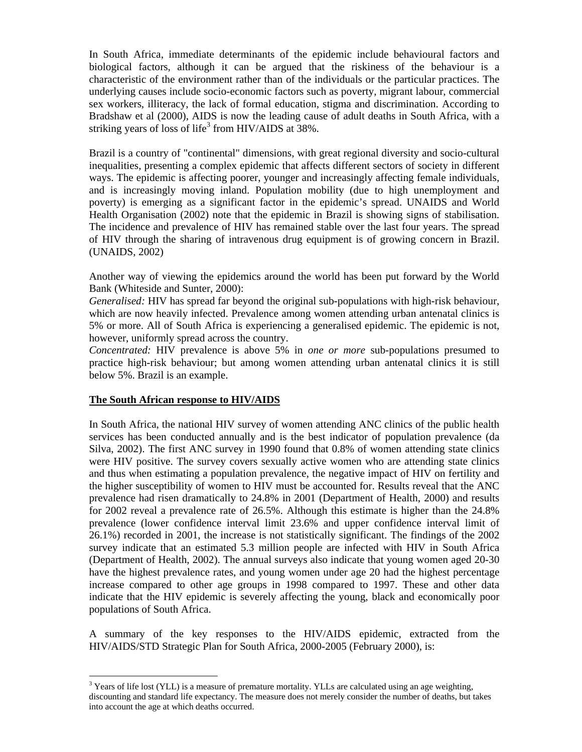In South Africa, immediate determinants of the epidemic include behavioural factors and biological factors, although it can be argued that the riskiness of the behaviour is a characteristic of the environment rather than of the individuals or the particular practices. The underlying causes include socio-economic factors such as poverty, migrant labour, commercial sex workers, illiteracy, the lack of formal education, stigma and discrimination. According to Bradshaw et al (2000), AIDS is now the leading cause of adult deaths in South Africa, with a striking years of loss of life<sup>3</sup> from HIV/AIDS at  $38\%$ .

Brazil is a country of "continental" dimensions, with great regional diversity and socio-cultural inequalities, presenting a complex epidemic that affects different sectors of society in different ways. The epidemic is affecting poorer, younger and increasingly affecting female individuals, and is increasingly moving inland. Population mobility (due to high unemployment and poverty) is emerging as a significant factor in the epidemic's spread. UNAIDS and World Health Organisation (2002) note that the epidemic in Brazil is showing signs of stabilisation. The incidence and prevalence of HIV has remained stable over the last four years. The spread of HIV through the sharing of intravenous drug equipment is of growing concern in Brazil. (UNAIDS, 2002)

Another way of viewing the epidemics around the world has been put forward by the World Bank (Whiteside and Sunter, 2000):

*Generalised:* HIV has spread far beyond the original sub-populations with high-risk behaviour, which are now heavily infected. Prevalence among women attending urban antenatal clinics is 5% or more. All of South Africa is experiencing a generalised epidemic. The epidemic is not, however, uniformly spread across the country.

*Concentrated:* HIV prevalence is above 5% in *one or more* sub-populations presumed to practice high-risk behaviour; but among women attending urban antenatal clinics it is still below 5%. Brazil is an example.

#### **The South African response to HIV/AIDS**

-

In South Africa, the national HIV survey of women attending ANC clinics of the public health services has been conducted annually and is the best indicator of population prevalence (da Silva, 2002). The first ANC survey in 1990 found that 0.8% of women attending state clinics were HIV positive. The survey covers sexually active women who are attending state clinics and thus when estimating a population prevalence, the negative impact of HIV on fertility and the higher susceptibility of women to HIV must be accounted for. Results reveal that the ANC prevalence had risen dramatically to 24.8% in 2001 (Department of Health, 2000) and results for 2002 reveal a prevalence rate of 26.5%. Although this estimate is higher than the 24.8% prevalence (lower confidence interval limit 23.6% and upper confidence interval limit of 26.1%) recorded in 2001, the increase is not statistically significant. The findings of the 2002 survey indicate that an estimated 5.3 million people are infected with HIV in South Africa (Department of Health, 2002). The annual surveys also indicate that young women aged 20-30 have the highest prevalence rates, and young women under age 20 had the highest percentage increase compared to other age groups in 1998 compared to 1997. These and other data indicate that the HIV epidemic is severely affecting the young, black and economically poor populations of South Africa.

A summary of the key responses to the HIV/AIDS epidemic, extracted from the HIV/AIDS/STD Strategic Plan for South Africa, 2000-2005 (February 2000), is:

 $3$  Years of life lost (YLL) is a measure of premature mortality. YLLs are calculated using an age weighting, discounting and standard life expectancy. The measure does not merely consider the number of deaths, but takes into account the age at which deaths occurred.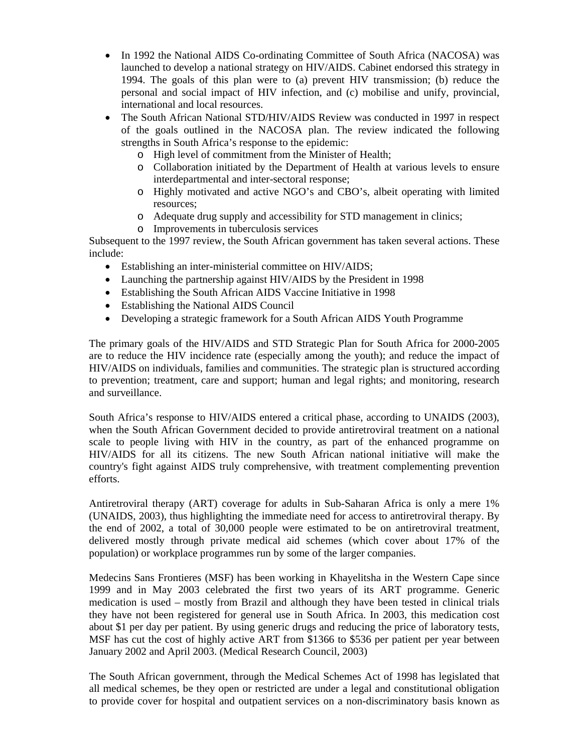- In 1992 the National AIDS Co-ordinating Committee of South Africa (NACOSA) was launched to develop a national strategy on HIV/AIDS. Cabinet endorsed this strategy in 1994. The goals of this plan were to (a) prevent HIV transmission; (b) reduce the personal and social impact of HIV infection, and (c) mobilise and unify, provincial, international and local resources.
- The South African National STD/HIV/AIDS Review was conducted in 1997 in respect of the goals outlined in the NACOSA plan. The review indicated the following strengths in South Africa's response to the epidemic:
	- o High level of commitment from the Minister of Health;
	- o Collaboration initiated by the Department of Health at various levels to ensure interdepartmental and inter-sectoral response;
	- o Highly motivated and active NGO's and CBO's, albeit operating with limited resources;
	- o Adequate drug supply and accessibility for STD management in clinics;
	- o Improvements in tuberculosis services

Subsequent to the 1997 review, the South African government has taken several actions. These include:

- Establishing an inter-ministerial committee on HIV/AIDS;
- Launching the partnership against HIV/AIDS by the President in 1998
- Establishing the South African AIDS Vaccine Initiative in 1998
- Establishing the National AIDS Council
- Developing a strategic framework for a South African AIDS Youth Programme

The primary goals of the HIV/AIDS and STD Strategic Plan for South Africa for 2000-2005 are to reduce the HIV incidence rate (especially among the youth); and reduce the impact of HIV/AIDS on individuals, families and communities. The strategic plan is structured according to prevention; treatment, care and support; human and legal rights; and monitoring, research and surveillance.

South Africa's response to HIV/AIDS entered a critical phase, according to UNAIDS (2003), when the South African Government decided to provide antiretroviral treatment on a national scale to people living with HIV in the country, as part of the enhanced programme on HIV/AIDS for all its citizens. The new South African national initiative will make the country's fight against AIDS truly comprehensive, with treatment complementing prevention efforts.

Antiretroviral therapy (ART) coverage for adults in Sub-Saharan Africa is only a mere 1% (UNAIDS, 2003), thus highlighting the immediate need for access to antiretroviral therapy. By the end of 2002, a total of 30,000 people were estimated to be on antiretroviral treatment, delivered mostly through private medical aid schemes (which cover about 17% of the population) or workplace programmes run by some of the larger companies.

Medecins Sans Frontieres (MSF) has been working in Khayelitsha in the Western Cape since 1999 and in May 2003 celebrated the first two years of its ART programme. Generic medication is used – mostly from Brazil and although they have been tested in clinical trials they have not been registered for general use in South Africa. In 2003, this medication cost about \$1 per day per patient. By using generic drugs and reducing the price of laboratory tests, MSF has cut the cost of highly active ART from \$1366 to \$536 per patient per year between January 2002 and April 2003. (Medical Research Council, 2003)

The South African government, through the Medical Schemes Act of 1998 has legislated that all medical schemes, be they open or restricted are under a legal and constitutional obligation to provide cover for hospital and outpatient services on a non-discriminatory basis known as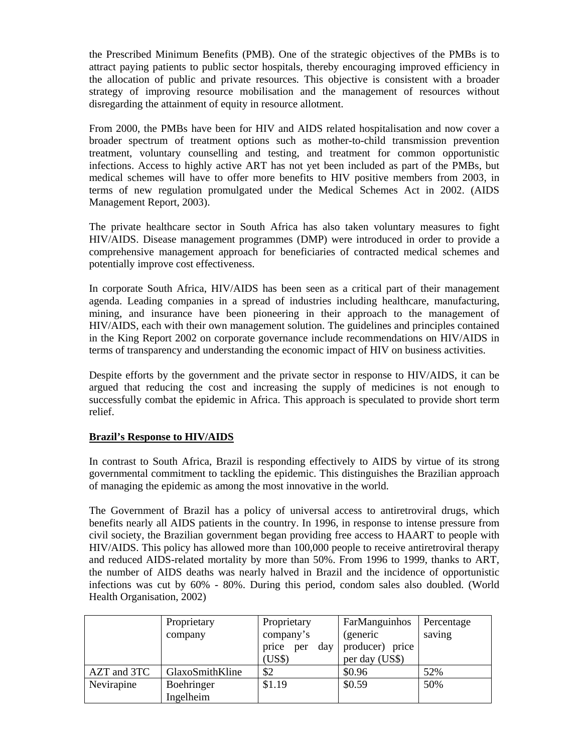the Prescribed Minimum Benefits (PMB). One of the strategic objectives of the PMBs is to attract paying patients to public sector hospitals, thereby encouraging improved efficiency in the allocation of public and private resources. This objective is consistent with a broader strategy of improving resource mobilisation and the management of resources without disregarding the attainment of equity in resource allotment.

From 2000, the PMBs have been for HIV and AIDS related hospitalisation and now cover a broader spectrum of treatment options such as mother-to-child transmission prevention treatment, voluntary counselling and testing, and treatment for common opportunistic infections. Access to highly active ART has not yet been included as part of the PMBs, but medical schemes will have to offer more benefits to HIV positive members from 2003, in terms of new regulation promulgated under the Medical Schemes Act in 2002. (AIDS Management Report, 2003).

The private healthcare sector in South Africa has also taken voluntary measures to fight HIV/AIDS. Disease management programmes (DMP) were introduced in order to provide a comprehensive management approach for beneficiaries of contracted medical schemes and potentially improve cost effectiveness.

In corporate South Africa, HIV/AIDS has been seen as a critical part of their management agenda. Leading companies in a spread of industries including healthcare, manufacturing, mining, and insurance have been pioneering in their approach to the management of HIV/AIDS, each with their own management solution. The guidelines and principles contained in the King Report 2002 on corporate governance include recommendations on HIV/AIDS in terms of transparency and understanding the economic impact of HIV on business activities.

Despite efforts by the government and the private sector in response to HIV/AIDS, it can be argued that reducing the cost and increasing the supply of medicines is not enough to successfully combat the epidemic in Africa. This approach is speculated to provide short term relief.

# **Brazil's Response to HIV/AIDS**

In contrast to South Africa, Brazil is responding effectively to AIDS by virtue of its strong governmental commitment to tackling the epidemic. This distinguishes the Brazilian approach of managing the epidemic as among the most innovative in the world.

The Government of Brazil has a policy of universal access to antiretroviral drugs, which benefits nearly all AIDS patients in the country. In 1996, in response to intense pressure from civil society, the Brazilian government began providing free access to HAART to people with HIV/AIDS. This policy has allowed more than 100,000 people to receive antiretroviral therapy and reduced AIDS-related mortality by more than 50%. From 1996 to 1999, thanks to ART, the number of AIDS deaths was nearly halved in Brazil and the incidence of opportunistic infections was cut by 60% - 80%. During this period, condom sales also doubled. (World Health Organisation, 2002)

|             | Proprietary     | Proprietary         | FarManguinhos   | Percentage |
|-------------|-----------------|---------------------|-----------------|------------|
|             | company         | company's           | (generic        | saving     |
|             |                 | price<br>day<br>per | producer) price |            |
|             |                 | (US\$)              | per day (US\$)  |            |
| AZT and 3TC | GlaxoSmithKline | \$2                 | \$0.96          | 52%        |
| Nevirapine  | Boehringer      | \$1.19              | \$0.59          | 50%        |
|             | Ingelheim       |                     |                 |            |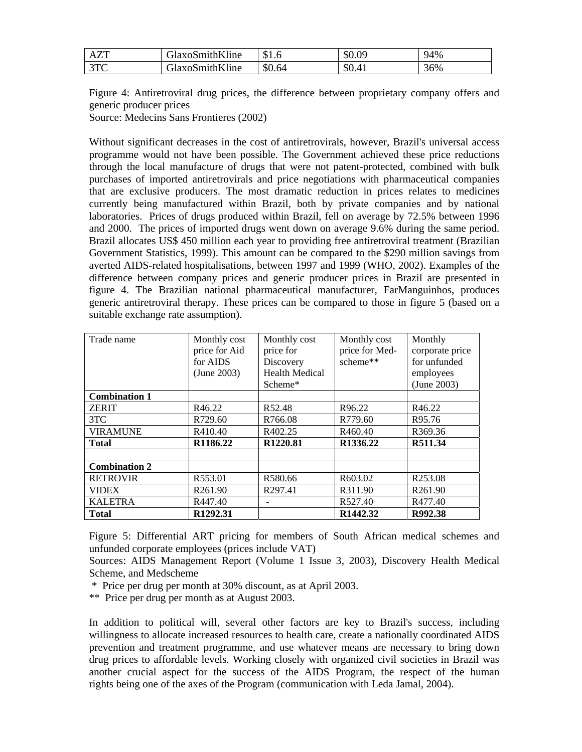| <b>AZT</b>        | GlaxoSmithKline | \$1.6  | \$0.09 | 94% |
|-------------------|-----------------|--------|--------|-----|
| 2TC<br><u>JIV</u> | GlaxoSmithKline | \$0.64 | \$0.41 | 36% |

Figure 4: Antiretroviral drug prices, the difference between proprietary company offers and generic producer prices

Source: Medecins Sans Frontieres (2002)

Without significant decreases in the cost of antiretrovirals, however, Brazil's universal access programme would not have been possible. The Government achieved these price reductions through the local manufacture of drugs that were not patent-protected, combined with bulk purchases of imported antiretrovirals and price negotiations with pharmaceutical companies that are exclusive producers. The most dramatic reduction in prices relates to medicines currently being manufactured within Brazil, both by private companies and by national laboratories. Prices of drugs produced within Brazil, fell on average by 72.5% between 1996 and 2000. The prices of imported drugs went down on average 9.6% during the same period. Brazil allocates US\$ 450 million each year to providing free antiretroviral treatment (Brazilian Government Statistics, 1999). This amount can be compared to the \$290 million savings from averted AIDS-related hospitalisations, between 1997 and 1999 (WHO, 2002). Examples of the difference between company prices and generic producer prices in Brazil are presented in figure 4. The Brazilian national pharmaceutical manufacturer, FarManguinhos, produces generic antiretroviral therapy. These prices can be compared to those in figure 5 (based on a suitable exchange rate assumption).

| Trade name           | Monthly cost        | Monthly cost          | Monthly cost         | Monthly             |
|----------------------|---------------------|-----------------------|----------------------|---------------------|
|                      | price for Aid       | price for             | price for Med-       | corporate price     |
|                      | for AIDS            | Discovery             | scheme**             | for unfunded        |
|                      | (June 2003)         | <b>Health Medical</b> |                      | employees           |
|                      |                     | Scheme*               |                      | (June 2003)         |
| <b>Combination 1</b> |                     |                       |                      |                     |
| <b>ZERIT</b>         | R46.22              | R52.48                | R96.22               | R46.22              |
| 3TC                  | R729.60             | R766.08               | R779.60              | R95.76              |
| <b>VIRAMUNE</b>      | R410.40             | R402.25               | R460.40              | R369.36             |
| <b>Total</b>         | R1186.22            | R1220.81              | R1336.22             | R511.34             |
|                      |                     |                       |                      |                     |
| <b>Combination 2</b> |                     |                       |                      |                     |
| <b>RETROVIR</b>      | R553.01             | R580.66               | R603.02              | R <sub>253.08</sub> |
| <b>VIDEX</b>         | R <sub>261.90</sub> | R297.41               | R311.90              | R <sub>261.90</sub> |
| <b>KALETRA</b>       | R447.40             |                       | R527.40              | R477.40             |
| <b>Total</b>         | R1292.31            |                       | R <sub>1442.32</sub> | R992.38             |

Figure 5: Differential ART pricing for members of South African medical schemes and unfunded corporate employees (prices include VAT)

Sources: AIDS Management Report (Volume 1 Issue 3, 2003), Discovery Health Medical Scheme, and Medscheme

\* Price per drug per month at 30% discount, as at April 2003.

\*\* Price per drug per month as at August 2003.

In addition to political will, several other factors are key to Brazil's success, including willingness to allocate increased resources to health care, create a nationally coordinated AIDS prevention and treatment programme, and use whatever means are necessary to bring down drug prices to affordable levels. Working closely with organized civil societies in Brazil was another crucial aspect for the success of the AIDS Program, the respect of the human rights being one of the axes of the Program (communication with Leda Jamal, 2004).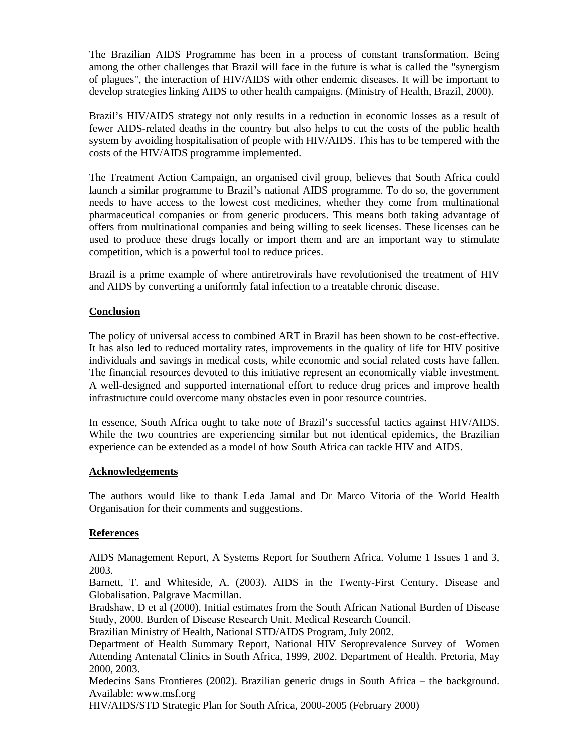The Brazilian AIDS Programme has been in a process of constant transformation. Being among the other challenges that Brazil will face in the future is what is called the "synergism of plagues", the interaction of HIV/AIDS with other endemic diseases. It will be important to develop strategies linking AIDS to other health campaigns. (Ministry of Health, Brazil, 2000).

Brazil's HIV/AIDS strategy not only results in a reduction in economic losses as a result of fewer AIDS-related deaths in the country but also helps to cut the costs of the public health system by avoiding hospitalisation of people with HIV/AIDS. This has to be tempered with the costs of the HIV/AIDS programme implemented.

The Treatment Action Campaign, an organised civil group, believes that South Africa could launch a similar programme to Brazil's national AIDS programme. To do so, the government needs to have access to the lowest cost medicines, whether they come from multinational pharmaceutical companies or from generic producers. This means both taking advantage of offers from multinational companies and being willing to seek licenses. These licenses can be used to produce these drugs locally or import them and are an important way to stimulate competition, which is a powerful tool to reduce prices.

Brazil is a prime example of where antiretrovirals have revolutionised the treatment of HIV and AIDS by converting a uniformly fatal infection to a treatable chronic disease.

### **Conclusion**

The policy of universal access to combined ART in Brazil has been shown to be cost-effective. It has also led to reduced mortality rates, improvements in the quality of life for HIV positive individuals and savings in medical costs, while economic and social related costs have fallen. The financial resources devoted to this initiative represent an economically viable investment. A well-designed and supported international effort to reduce drug prices and improve health infrastructure could overcome many obstacles even in poor resource countries.

In essence, South Africa ought to take note of Brazil's successful tactics against HIV/AIDS. While the two countries are experiencing similar but not identical epidemics, the Brazilian experience can be extended as a model of how South Africa can tackle HIV and AIDS.

#### **Acknowledgements**

The authors would like to thank Leda Jamal and Dr Marco Vitoria of the World Health Organisation for their comments and suggestions.

# **References**

AIDS Management Report, A Systems Report for Southern Africa. Volume 1 Issues 1 and 3, 2003.

Barnett, T. and Whiteside, A. (2003). AIDS in the Twenty-First Century. Disease and Globalisation. Palgrave Macmillan.

Bradshaw, D et al (2000). Initial estimates from the South African National Burden of Disease Study, 2000. Burden of Disease Research Unit. Medical Research Council.

Brazilian Ministry of Health, National STD/AIDS Program, July 2002.

Department of Health Summary Report, National HIV Seroprevalence Survey of Women Attending Antenatal Clinics in South Africa, 1999, 2002. Department of Health. Pretoria, May 2000, 2003.

Medecins Sans Frontieres (2002). Brazilian generic drugs in South Africa – the background. Available: www.msf.org

HIV/AIDS/STD Strategic Plan for South Africa, 2000-2005 (February 2000)